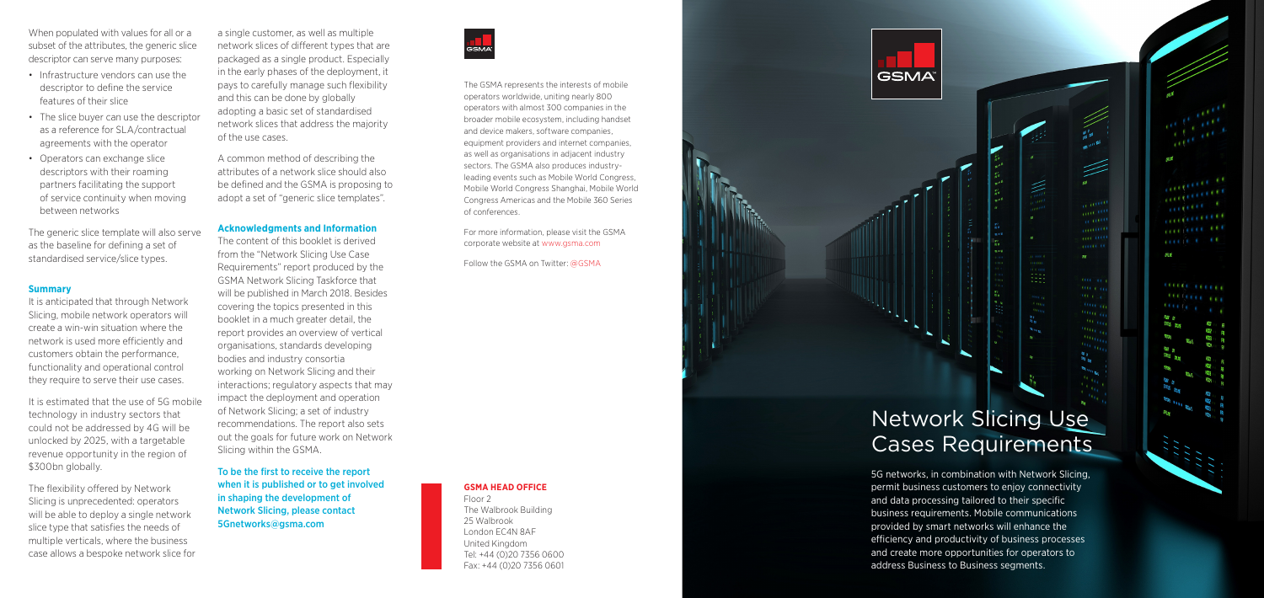a single customer, as well as multiple network slices of different types that are packaged as a single product. Especially in the early phases of the deployment, it pays to carefully manage such flexibility and this can be done by globally adopting a basic set of standardised network slices that address the majority of the use cases.

A common method of describing the attributes of a network slice should also be defined and the GSMA is proposing to adopt a set of "generic slice templates".

#### **Acknowledgments and Information**

The content of this booklet is derived from the "Network Slicing Use Case Requirements" report produced by the GSMA Network Slicing Taskforce that will be published in March 2018. Besides covering the topics presented in this booklet in a much greater detail, the report provides an overview of vertical organisations, standards developing bodies and industry consortia working on Network Slicing and their interactions; regulatory aspects that may impact the deployment and operation of Network Slicing; a set of industry recommendations. The report also sets out the goals for future work on Network Slicing within the GSMA.

The generic slice template will also serve as the baseline for defining a set of standardised service/slice types.

It is anticipated that through Network Slicing, mobile network operators will create a win-win situation where the network is used more efficiently and customers obtain the performance, functionality and operational control they require to serve their use cases.

It is estimated that the use of 5G mobile technology in industry sectors that could not be addressed by 4G will be unlocked by 2025, with a targetable revenue opportunity in the region of \$300bn globally.

To be the first to receive the report when it is published or to get involved in shaping the development of Network Slicing, please contact 5Gnetworks@gsma.com



When populated with values for all or a subset of the attributes, the generic slice descriptor can serve many purposes:

- Infrastructure vendors can use the descriptor to define the service features of their slice
- The slice buyer can use the descriptor as a reference for SLA/contractual agreements with the operator
- Operators can exchange slice descriptors with their roaming partners facilitating the support of service continuity when moving between networks

#### **Summary**

The flexibility offered by Network Slicing is unprecedented: operators will be able to deploy a single network slice type that satisfies the needs of multiple verticals, where the business case allows a bespoke network slice for

## **GSMA HEAD OFFICE**

Floor 2 The Walbrook Building 25 Walbrook London EC4N 8AF United Kingdom Tel: +44 (0)20 7356 0600 Fax: +44 (0)20 7356 0601



# Network Slicing Use Cases Requirements

 $\sum_{n=0}^{\infty}$ 

Œ

**COLLECT** 

 $\mathcal{R} \mathcal{R}$ 

 $\mathbf{u}$  and

y).

facture of

 $\begin{array}{c} \mathbf{1}_{\mathbf{1}_{\mathbf{1}}\mathbf{1}_{\mathbf{2}}\mathbf{1}_{\mathbf{2}}\mathbf{1}_{\mathbf{2}}\mathbf{1}_{\mathbf{2}}\mathbf{1}_{\mathbf{2}}\mathbf{1}_{\mathbf{2}}\mathbf{1}_{\mathbf{2}}\mathbf{1}_{\mathbf{2}}\mathbf{1}_{\mathbf{2}}\mathbf{1}_{\mathbf{2}}\mathbf{1}_{\mathbf{2}}\mathbf{1}_{\mathbf{2}}\mathbf{1}_{\mathbf{2}}\mathbf{1}_{\mathbf{2}}\mathbf{1}_{\mathbf{2}}\mathbf{1}_{\mathbf{2}}\mathbf$ 

**COOL CONTRACT TECHNOLOGY** 

OFRICE

<sup>Sikiu</sup>S ates

5G networks, in combination with Network Slicing, permit business customers to enjoy connectivity and data processing tailored to their specific business requirements. Mobile communications provided by smart networks will enhance the efficiency and productivity of business processes and create more opportunities for operators to address Business to Business segments.



The GSMA represents the interests of mobile operators worldwide, uniting nearly 800 operators with almost 300 companies in the broader mobile ecosystem, including handset and device makers, software companies, equipment providers and internet companies, as well as organisations in adjacent industry sectors. The GSMA also produces industryleading events such as Mobile World Congress, Mobile World Congress Shanghai, Mobile World Congress Americas and the Mobile 360 Series of conferences.

For more information, please visit the GSMA corporate website at www.gsma.com

Follow the GSMA on Twitter: @GSMA